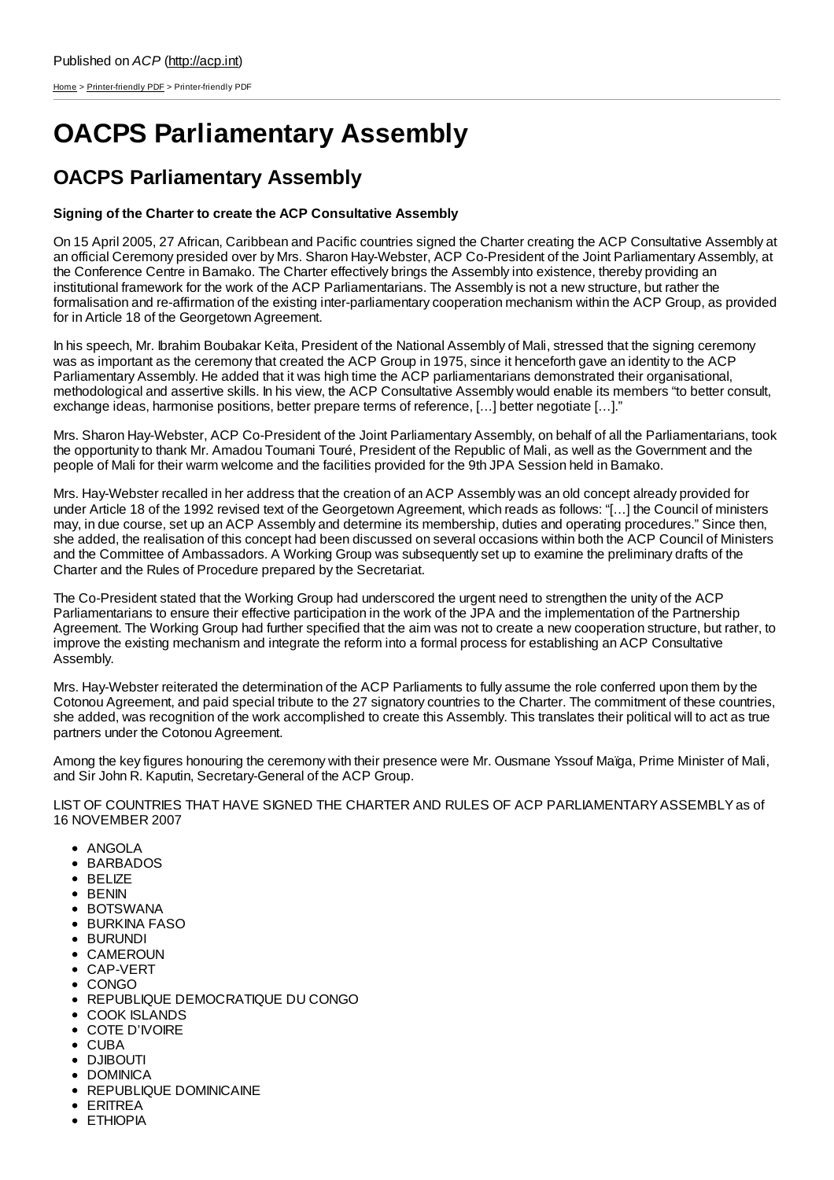[Home](http://acp.int/) > [Printer-friendly](http://acp.int/printpdf) PDF > Printer-friendly PDF

## **OACPS Parliamentary Assembly**

## **OACPS Parliamentary Assembly**

## **Signing of the Charter to create the ACP Consultative Assembly**

On 15 April 2005, 27 African, Caribbean and Pacific countries signed the Charter creating the ACP Consultative Assembly at an official Ceremony presided over by Mrs. Sharon Hay-Webster, ACP Co-President of the Joint Parliamentary Assembly, at the Conference Centre in Bamako. The Charter effectively brings the Assembly into existence, thereby providing an institutional framework for the work of the ACP Parliamentarians. The Assembly is not a new structure, but rather the formalisation and re-affirmation of the existing inter-parliamentary cooperation mechanism within the ACP Group, as provided for in Article 18 of the Georgetown Agreement.

In his speech, Mr. Ibrahim Boubakar Keïta, President of the National Assembly of Mali, stressed that the signing ceremony was as important as the ceremony that created the ACP Group in 1975, since it henceforth gave an identity to the ACP Parliamentary Assembly. He added that it was high time the ACP parliamentarians demonstrated their organisational, methodological and assertive skills. In his view, the ACP Consultative Assembly would enable its members "to better consult, exchange ideas, harmonise positions, better prepare terms of reference, […] better negotiate […]."

Mrs. Sharon Hay-Webster, ACP Co-President of the Joint Parliamentary Assembly, on behalf of all the Parliamentarians, took the opportunity to thank Mr. Amadou Toumani Touré, President of the Republic of Mali, as well as the Government and the people of Mali for their warm welcome and the facilities provided for the 9th JPA Session held in Bamako.

Mrs. Hay-Webster recalled in her address that the creation of an ACP Assembly was an old concept already provided for under Article 18 of the 1992 revised text of the Georgetown Agreement, which reads as follows: "[…] the Council of ministers may, in due course, set up an ACP Assembly and determine its membership, duties and operating procedures." Since then, she added, the realisation of this concept had been discussed on several occasions within both the ACP Council of Ministers and the Committee of Ambassadors. A Working Group was subsequently set up to examine the preliminary drafts of the Charter and the Rules of Procedure prepared by the Secretariat.

The Co-President stated that the Working Group had underscored the urgent need to strengthen the unity of the ACP Parliamentarians to ensure their effective participation in the work of the JPA and the implementation of the Partnership Agreement. The Working Group had further specified that the aim was not to create a new cooperation structure, but rather, to improve the existing mechanism and integrate the reform into a formal process for establishing an ACP Consultative Assembly.

Mrs. Hay-Webster reiterated the determination of the ACP Parliaments to fully assume the role conferred upon them by the Cotonou Agreement, and paid special tribute to the 27 signatory countries to the Charter. The commitment of these countries, she added, was recognition of the work accomplished to create this Assembly. This translates their political will to act as true partners under the Cotonou Agreement.

Among the key figures honouring the ceremony with their presence were Mr. Ousmane Yssouf Maïga, Prime Minister of Mali, and Sir John R. Kaputin, Secretary-General of the ACP Group.

LIST OF COUNTRIES THAT HAVE SIGNED THE CHARTER AND RULES OF ACP PARLIAMENTARYASSEMBLYas of 16 NOVEMBER 2007

- ANGOLA
- BARBADOS
- BELIZE
- BENIN
- **BOTSWANA**
- BURKINA FASO
- BURUNDI
- CAMEROUN
- CAP-VERT
- CONGO
- REPUBLIQUE DEMOCRATIQUE DU CONGO
- COOK ISLANDS
- COTE D'IVOIRE
- CUBA
- DJIBOUTI
- DOMINICA
- REPUBLIQUE DOMINICAINE
- ERITREA
- **ETHIOPIA**